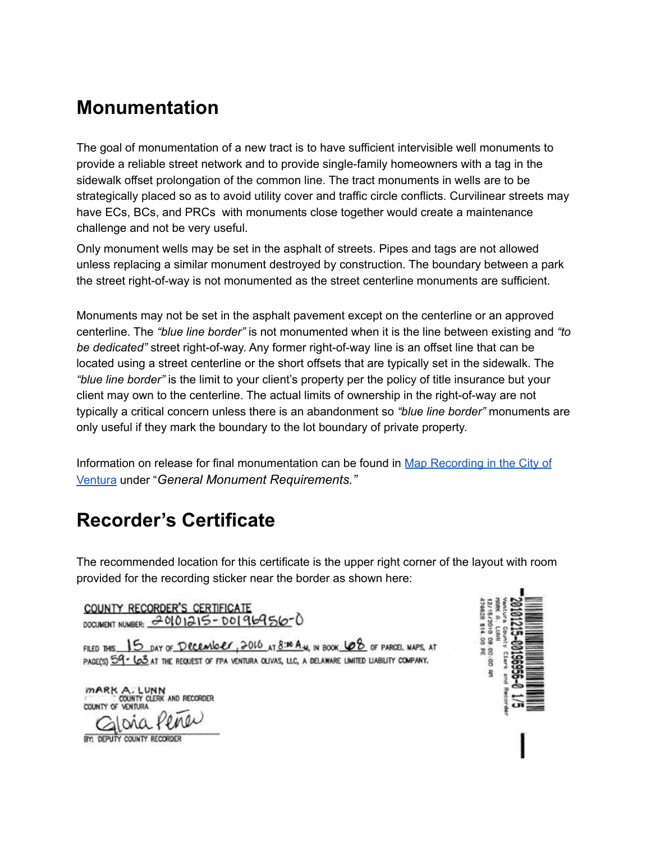# **Monumentation**

The goal of monumentation of a new tract is to have sufficient intervisible well monuments to provide a reliable street network and to provide single-family homeowners with a tag in the sidewalk offset prolongation of the common line. The tract monuments in wells are to be strategically placed so as to avoid utility cover and traffic circle conflicts. Curvilinear streets may have ECs, BCs, and PRCs with monuments close together would create a maintenance challenge and not be very useful.

Only monument wells may be set in the asphalt of streets. Pipes and tags are not allowed unless replacing a similar monument destroyed by construction. The boundary between a park the street right-of-way is not monumented as the street centerline monuments are sufficient.

Monuments may not be set in the asphalt pavement except on the centerline or an approved centerline. The *"blue line border"* is not monumented when it is the line between existing and *"to be dedicated"* street right-of-way. Any former right-of-way line is an offset line that can be located using a street centerline or the short offsets that are typically set in the sidewalk. The *"blue line border"* is the limit to your client's property per the policy of title insurance but your client may own to the centerline. The actual limits of ownership in the right-of-way are not typically a critical concern unless there is an abandonment so *"blue line border"* monuments are only useful if they mark the boundary to the lot boundary of private property.

Information on release for final monumentation can be found in Map [Recording](https://docs.google.com/document/d/1Clu-VCj-gvEq7roXQQe-rWyJdJfXvsycXbHqo_cuJB0/edit?usp=sharing) in the City of [Ventura](https://docs.google.com/document/d/1Clu-VCj-gvEq7roXQQe-rWyJdJfXvsycXbHqo_cuJB0/edit?usp=sharing) under "*General Monument Requirements."*

# **Recorder's Certificate**

The recommended location for this certificate is the upper right corner of the layout with room provided for the recording sticker near the border as shown here:

COUNTY RECORDER'S CERTIFICATE DOCUMENT NUMBER: 20101215-00196956-0

FILED THIS 15 DAY OF DECEMBER, 2016 AT 8:00 A.M., IN BOOK  $\emptyset$  of PARCEL MAPS, AT PAGE(S) 59 - LO3 AT THE REQUEST OF FPA VENTURA OLIVAS, LLC, A DELAWARE LIMITED LIABILITY COMPANY.

MARK A. LUNN<br>COUNTY CLERK AND RECORDER



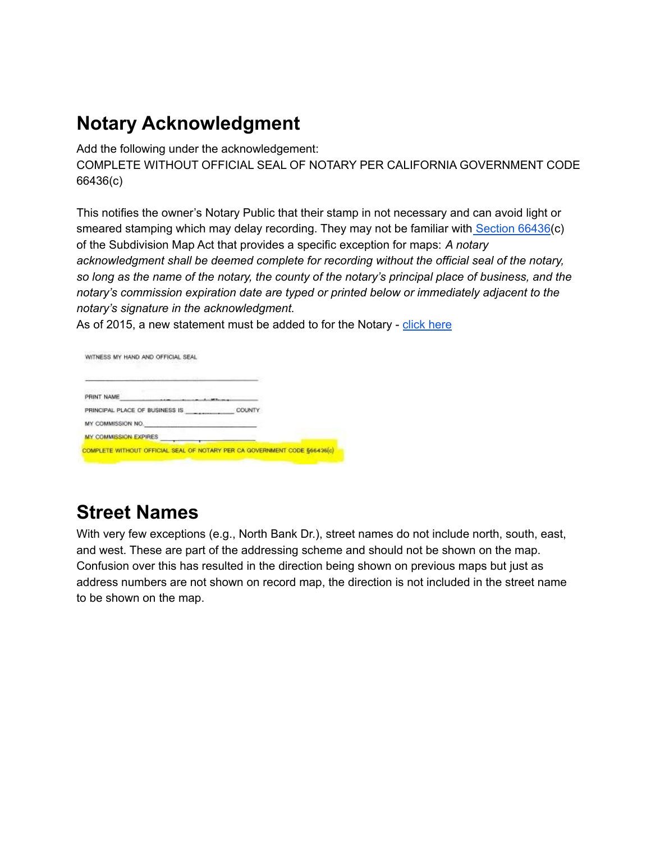# **Notary Acknowledgment**

Add the following under the acknowledgement: COMPLETE WITHOUT OFFICIAL SEAL OF NOTARY PER CALIFORNIA GOVERNMENT CODE 66436(c)

This notifies the owner's Notary Public that their stamp in not necessary and can avoid light or smeared stamping which may delay recording. They may not be familiar with [Section](http://leginfo.legislature.ca.gov/faces/codes_displaySection.xhtml?sectionNum=66436.&lawCode=GOV) 66436(c) of the Subdivision Map Act that provides a specific exception for maps: *A notary acknowledgment shall be deemed complete for recording without the official seal of the notary,* so long as the name of the notary, the county of the notary's principal place of business, and the *notary's commission expiration date are typed or printed below or immediately adjacent to the notary's signature in the acknowledgment.*

As of 2015, a new statement must be added to for the Notary - click [here](https://drive.google.com/file/d/0B4ENTETP2fnEMG9WVGZ4WEdLekk/view?usp=sharing)

WITNESS MY HAND AND OFFICIAL SEAL

| PRINT NAME                     |               |  |
|--------------------------------|---------------|--|
| PRINCIPAL PLACE OF BUSINESS IS | <b>COUNTY</b> |  |
| MY COMMISSION NO.              |               |  |
| MY COMMISSION EXPIRES          |               |  |

# **Street Names**

With very few exceptions (e.g., North Bank Dr.), street names do not include north, south, east, and west. These are part of the addressing scheme and should not be shown on the map. Confusion over this has resulted in the direction being shown on previous maps but just as address numbers are not shown on record map, the direction is not included in the street name to be shown on the map.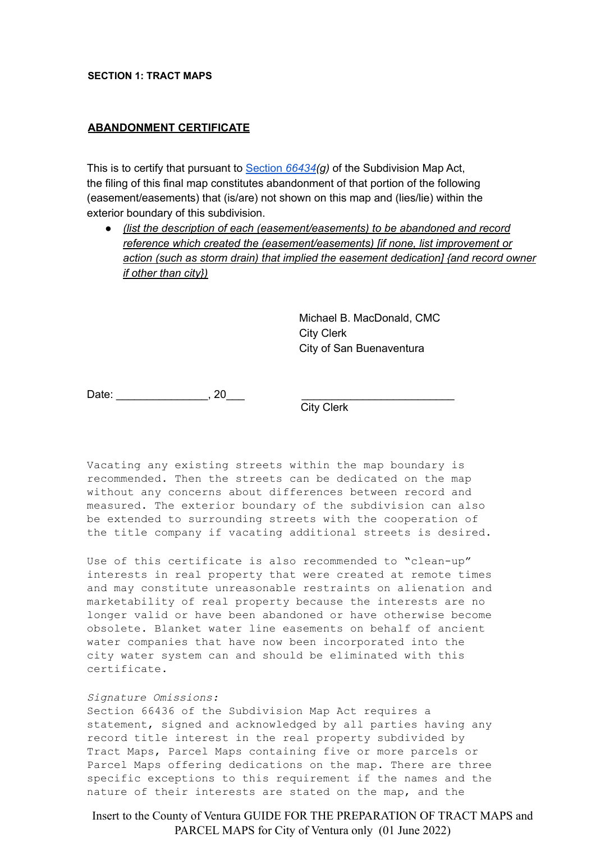#### **SECTION 1: TRACT MAPS**

#### **ABANDONMENT CERTIFICATE**

This is to certify that pursuant to [Section](http://leginfo.legislature.ca.gov/faces/codes_displaySection.xhtml?sectionNum=66434.&lawCode=GOV) *66434(g)* of the Subdivision Map Act, the filing of this final map constitutes abandonment of that portion of the following (easement/easements) that (is/are) not shown on this map and (lies/lie) within the exterior boundary of this subdivision.

● *(list the description of each (easement/easements) to be abandoned and record reference which created the (easement/easements) [if none, list improvement or action (such as storm drain) that implied the easement dedication] {and record owner if other than city})*

> Michael B. MacDonald, CMC City Clerk City of San Buenaventura

Date: \_\_\_\_\_\_\_\_\_\_\_\_\_\_\_\_\_\_\_\_\_\_, 20\_\_\_\_\_

City Clerk

Vacating any existing streets within the map boundary is recommended. Then the streets can be dedicated on the map without any concerns about differences between record and measured. The exterior boundary of the subdivision can also be extended to surrounding streets with the cooperation of the title company if vacating additional streets is desired.

Use of this certificate is also recommended to "clean-up" interests in real property that were created at remote times and may constitute unreasonable restraints on alienation and marketability of real property because the interests are no longer valid or have been abandoned or have otherwise become obsolete. Blanket water line easements on behalf of ancient water companies that have now been incorporated into the city water system can and should be eliminated with this certificate.

#### *Signature Omissions:*

Section 66436 of the Subdivision Map Act requires a statement, signed and acknowledged by all parties having any record title interest in the real property subdivided by Tract Maps, Parcel Maps containing five or more parcels or Parcel Maps offering dedications on the map. There are three specific exceptions to this requirement if the names and the nature of their interests are stated on the map, and the

Insert to the County of Ventura GUIDE FOR THE PREPARATION OF TRACT MAPS and PARCEL MAPS for City of Ventura only (01 June 2022)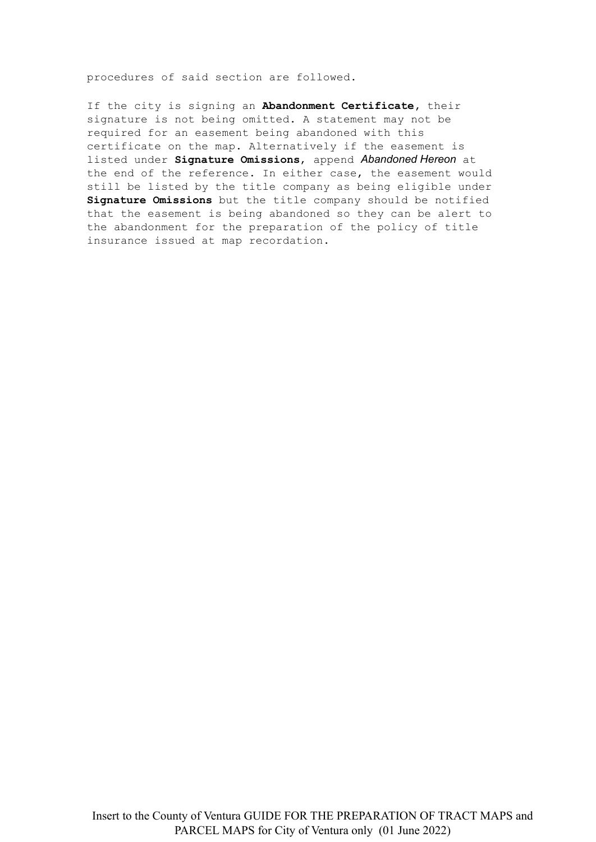procedures of said section are followed.

If the city is signing an **Abandonment Certificate,** their signature is not being omitted. A statement may not be required for an easement being abandoned with this certificate on the map. Alternatively if the easement is listed under **Signature Omissions**, append *Abandoned Hereon* at the end of the reference. In either case, the easement would still be listed by the title company as being eligible under **Signature Omissions** but the title company should be notified that the easement is being abandoned so they can be alert to the abandonment for the preparation of the policy of title insurance issued at map recordation**.**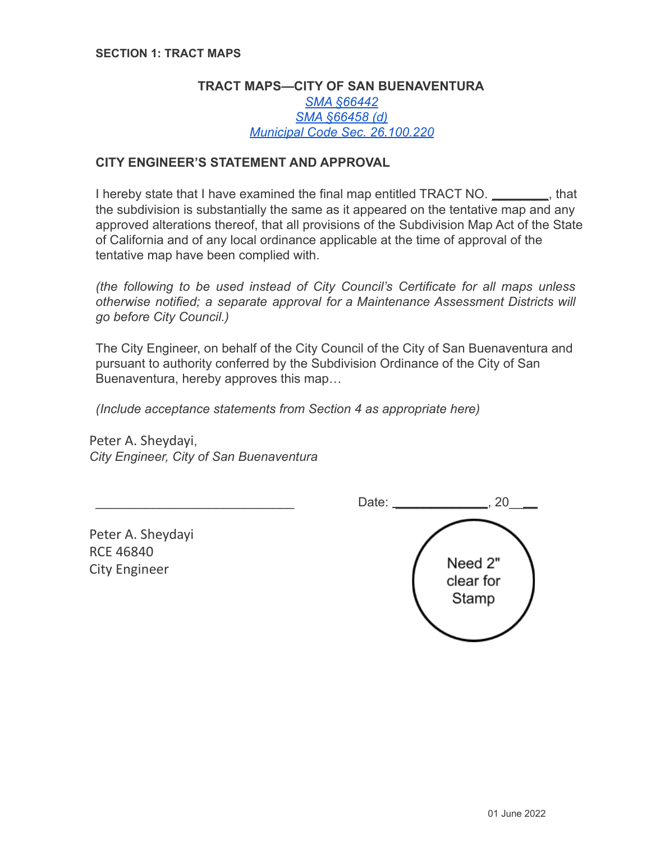## **TRACT MAPS—CITY OF SAN BUENAVENTURA** *[SMA §66442](http://leginfo.legislature.ca.gov/faces/codes_displaySection.xhtml?sectionNum=66442.&lawCode=GOV) [SMA §66458 \(d\)](http://leginfo.legislature.ca.gov/faces/codes_displaySection.xhtml?sectionNum=66458.&lawCode=GOV) [Municipal Code Sec. 26.100.220](https://library.municode.com/ca/san_buenaventura/codes/code_of_ordinances?nodeId=DIV26SURE_CH26.100SUMA_ART2FIMA_S26.100.220REFI)*

## **CITY ENGINEER'S STATEMENT AND APPROVAL**

I hereby state that I have examined the final map entitled TRACT NO. \_\_\_\_\_\_\_\_, that the subdivision is substantially the same as it appeared on the tentative map and any approved alterations thereof, that all provisions of the Subdivision Map Act of the State of California and of any local ordinance applicable at the time of approval of the tentative map have been complied with.

*(the following to be used instead of City Council's Certificate for all maps unless otherwise notified; a separate approval for a Maintenance Assessment Districts will go before City Council.)*

The City Engineer, on behalf of the City Council of the City of San Buenaventura and pursuant to authority conferred by the Subdivision Ordinance of the City of San Buenaventura, hereby approves this map…

*(Include acceptance statements from Section 4 as appropriate here)*

Peter A. Sheydayi, *City Engineer, City of San Buenaventura*

Date:  $\Box$  20 Peter A. Sheydayi RCE 46840 Need 2" City Engineer clear for Stamp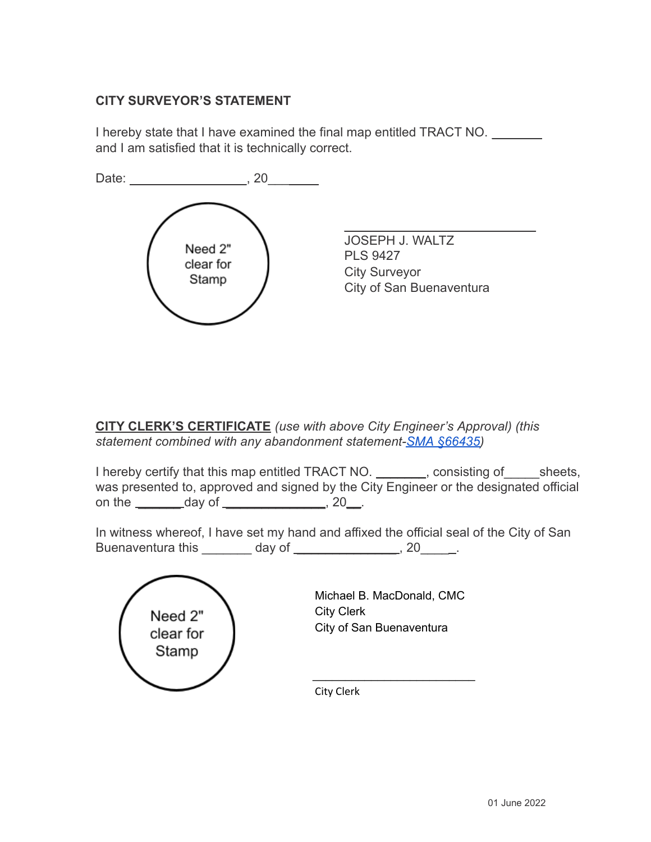# **CITY SURVEYOR'S STATEMENT**

I hereby state that I have examined the final map entitled TRACT NO. \_\_\_\_\_\_\_ and I am satisfied that it is technically correct.



**CITY CLERK'S CERTIFICATE** *(use with above City Engineer's Approval) (this statement combined with any abandonment statement-SMA [§66435\)](http://leginfo.legislature.ca.gov/faces/codes_displaySection.xhtml?sectionNum=66435.&lawCode=GOV)*

I hereby certify that this map entitled TRACT NO. Consisting of sheets, was presented to, approved and signed by the City Engineer or the designated official on the  $\_\_$  day of  $\_\_$ , 20 $\_\_$ .

In witness whereof, I have set my hand and affixed the official seal of the City of San Buenaventura this \_\_\_\_\_\_\_ day of \_\_\_\_\_\_\_\_\_\_\_\_\_\_\_\_, 20\_\_\_\_\_.

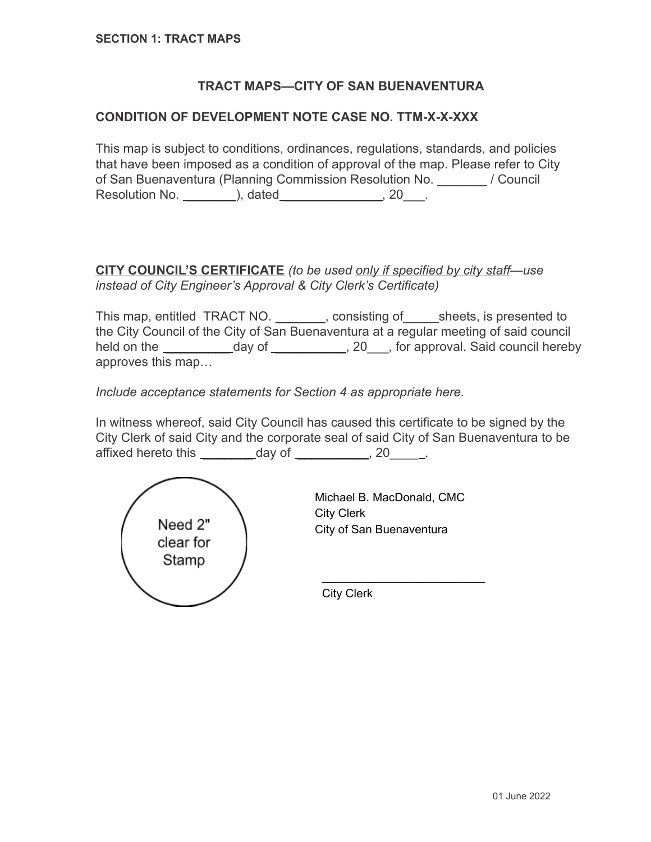# **TRACT MAPS—CITY OF SAN BUENAVENTURA**

### **CONDITION OF DEVELOPMENT NOTE CASE NO. TTM-X-X-XXX**

This map is subject to conditions, ordinances, regulations, standards, and policies that have been imposed as a condition of approval of the map. Please refer to City of San Buenaventura (Planning Commission Resolution No. \_\_\_\_\_\_\_ / Council Resolution No. \_\_\_\_\_\_\_), dated \_\_\_\_\_\_\_\_\_\_\_\_\_\_, 20\_\_\_.

## **CITY COUNCIL'S CERTIFICATE** *(to be used only if specified by city staff—use instead of City Engineer's Approval & City Clerk's Certificate)*

This map, entitled TRACT NO. This map, entitled TRACT NO. This map are sheets, is presented to the City Council of the City of San Buenaventura at a regular meeting of said council held on the \_\_\_\_\_\_\_\_\_ day of \_\_\_\_\_\_\_\_\_\_, 20\_\_\_, for approval. Said council hereby approves this map…

*Include acceptance statements for Section 4 as appropriate here.*

In witness whereof, said City Council has caused this certificate to be signed by the City Clerk of said City and the corporate seal of said City of San Buenaventura to be affixed hereto this day of 1. All 20 and 1.



Michael B. MacDonald, CMC City Clerk City of San Buenaventura

\_\_\_\_\_\_\_\_\_\_\_\_\_\_\_\_\_\_\_\_\_\_\_\_\_

City Clerk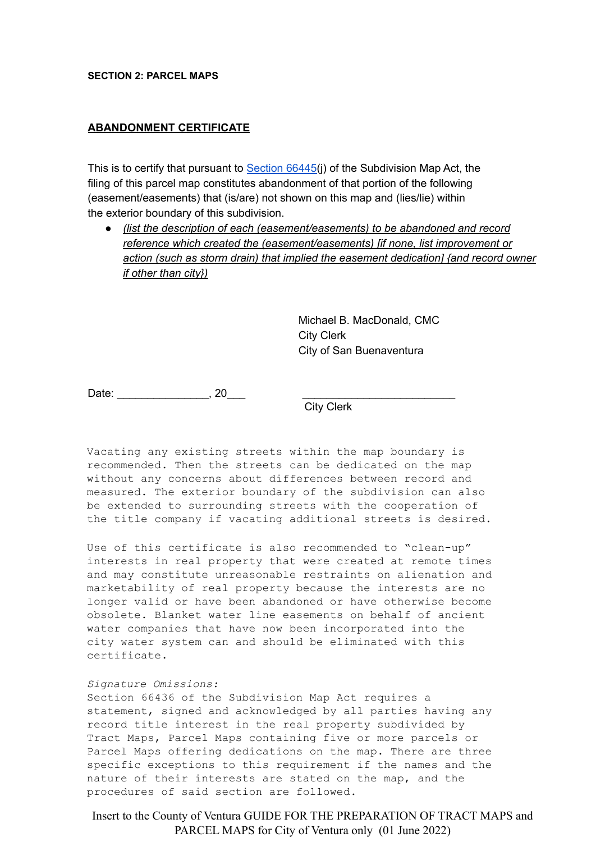#### **SECTION 2: PARCEL MAPS**

#### **ABANDONMENT CERTIFICATE**

This is to certify that pursuant to [Section](http://leginfo.legislature.ca.gov/faces/codes_displaySection.xhtml?sectionNum=66445.&lawCode=GOV) 66445(j) of the Subdivision Map Act, the filing of this parcel map constitutes abandonment of that portion of the following (easement/easements) that (is/are) not shown on this map and (lies/lie) within the exterior boundary of this subdivision.

● *(list the description of each (easement/easements) to be abandoned and record reference which created the (easement/easements) [if none, list improvement or action (such as storm drain) that implied the easement dedication] {and record owner if other than city})*

> Michael B. MacDonald, CMC City Clerk City of San Buenaventura

Date: \_\_\_\_\_\_\_\_\_\_\_\_\_\_\_\_\_\_\_\_\_\_\_, 20\_\_\_\_

City Clerk

Vacating any existing streets within the map boundary is recommended. Then the streets can be dedicated on the map without any concerns about differences between record and measured. The exterior boundary of the subdivision can also be extended to surrounding streets with the cooperation of the title company if vacating additional streets is desired.

Use of this certificate is also recommended to "clean-up" interests in real property that were created at remote times and may constitute unreasonable restraints on alienation and marketability of real property because the interests are no longer valid or have been abandoned or have otherwise become obsolete. Blanket water line easements on behalf of ancient water companies that have now been incorporated into the city water system can and should be eliminated with this certificate.

#### *Signature Omissions:*

Section 66436 of the Subdivision Map Act requires a statement, signed and acknowledged by all parties having any record title interest in the real property subdivided by Tract Maps, Parcel Maps containing five or more parcels or Parcel Maps offering dedications on the map. There are three specific exceptions to this requirement if the names and the nature of their interests are stated on the map, and the procedures of said section are followed.

Insert to the County of Ventura GUIDE FOR THE PREPARATION OF TRACT MAPS and PARCEL MAPS for City of Ventura only (01 June 2022)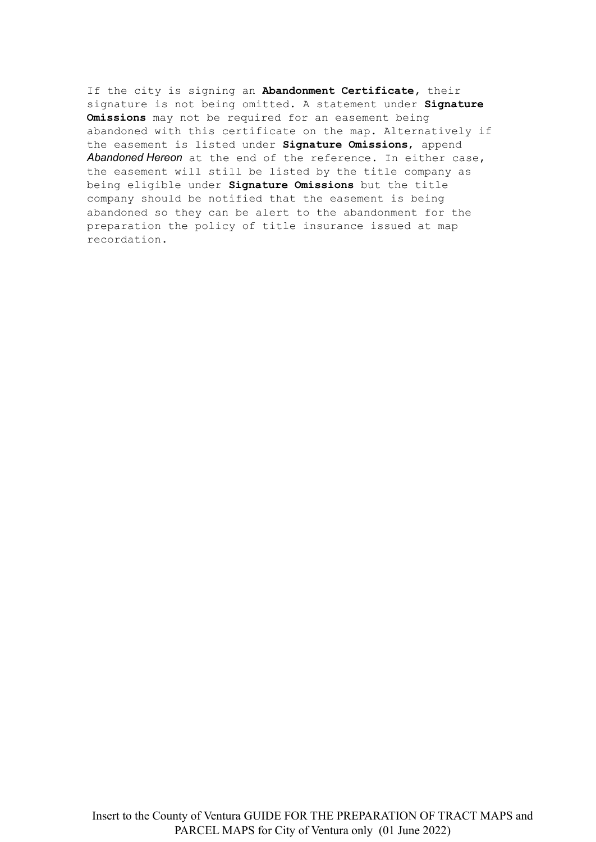If the city is signing an **Abandonment Certificate,** their signature is not being omitted. A statement under **Signature Omissions** may not be required for an easement being abandoned with this certificate on the map. Alternatively if the easement is listed under **Signature Omissions**, append *Abandoned Hereon* at the end of the reference. In either case, the easement will still be listed by the title company as being eligible under **Signature Omissions** but the title company should be notified that the easement is being abandoned so they can be alert to the abandonment for the preparation the policy of title insurance issued at map recordation**.**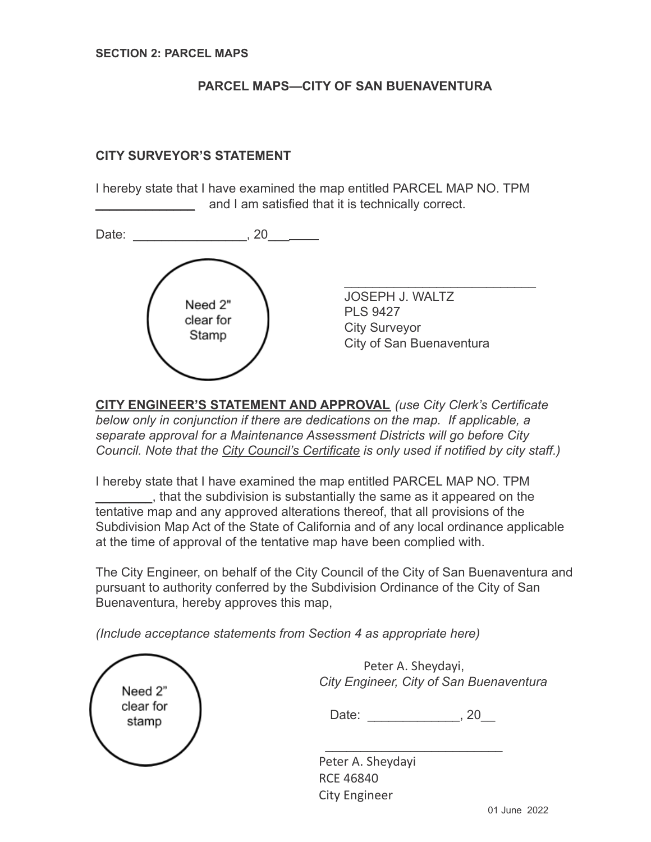# **PARCEL MAPS—CITY OF SAN BUENAVENTURA**

## **CITY SURVEYOR'S STATEMENT**

I hereby state that I have examined the map entitled PARCEL MAP NO. TPM and I am satisfied that it is technically correct.



**CITY ENGINEER'S STATEMENT AND APPROVAL** *(use City Clerk's Certificate below only in conjunction if there are dedications on the map. If applicable, a separate approval for a Maintenance Assessment Districts will go before City Council. Note that the City Council's Certificate is only used if notified by city staff.)*

I hereby state that I have examined the map entitled PARCEL MAP NO. TPM \_\_\_\_\_\_\_\_, that the subdivision is substantially the same as it appeared on the tentative map and any approved alterations thereof, that all provisions of the Subdivision Map Act of the State of California and of any local ordinance applicable at the time of approval of the tentative map have been complied with.

The City Engineer, on behalf of the City Council of the City of San Buenaventura and pursuant to authority conferred by the Subdivision Ordinance of the City of San Buenaventura, hereby approves this map,

*(Include acceptance statements from Section 4 as appropriate here)*

| Need 2"<br>clear for<br>stamp | Peter A. Sheydayi,<br>City Engineer, City of San Buenaventura<br>Date:<br>20 |
|-------------------------------|------------------------------------------------------------------------------|
|                               | Peter A. Sheydayi<br><b>RCE 46840</b><br><b>City Engineer</b>                |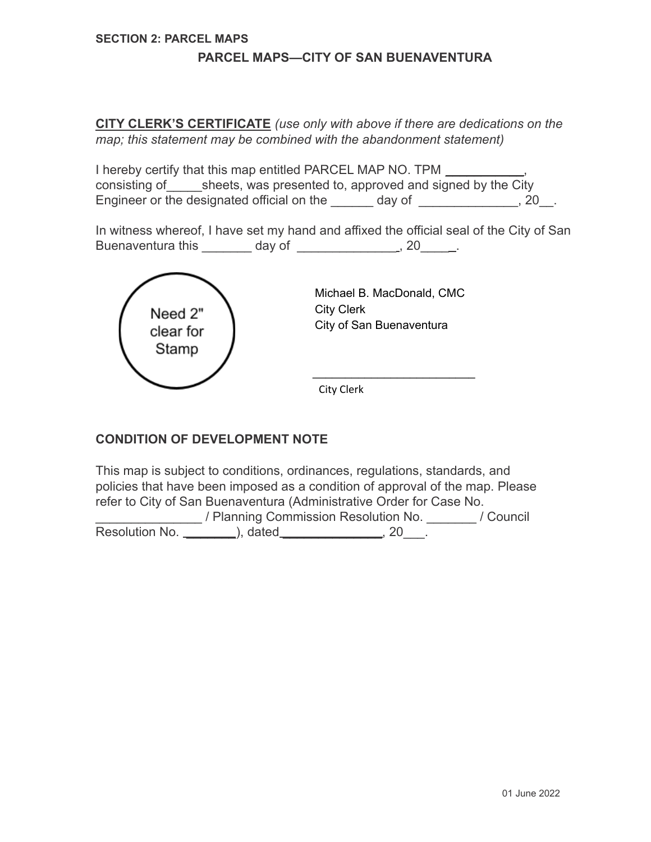#### **SECTION 2: PARCEL MAPS**

#### **PARCEL MAPS—CITY OF SAN BUENAVENTURA**

**CITY CLERK'S CERTIFICATE** *(use only with above if there are dedications on the map; this statement may be combined with the abandonment statement)*

I hereby certify that this map entitled PARCEL MAP NO. TPM \_\_\_\_\_**\_\_\_\_**\_\_, consisting of sheets, was presented to, approved and signed by the City Engineer or the designated official on the day of \_\_\_\_\_\_\_\_\_\_\_\_\_\_, 20\_\_.

In witness whereof, I have set my hand and affixed the official seal of the City of San Buenaventura this day of the set of the set of the set of the set of the set of the set of the set of the set o



### **CONDITION OF DEVELOPMENT NOTE**

This map is subject to conditions, ordinances, regulations, standards, and policies that have been imposed as a condition of approval of the map. Please refer to City of San Buenaventura (Administrative Order for Case No.

\_\_\_\_\_\_\_\_\_\_\_\_\_\_\_ / Planning Commission Resolution No. \_\_\_\_\_\_\_ / Council Resolution No. \_\_\_\_\_\_\_\_\_), dated \_\_\_\_\_\_\_\_\_\_\_\_\_\_\_, 20\_\_\_.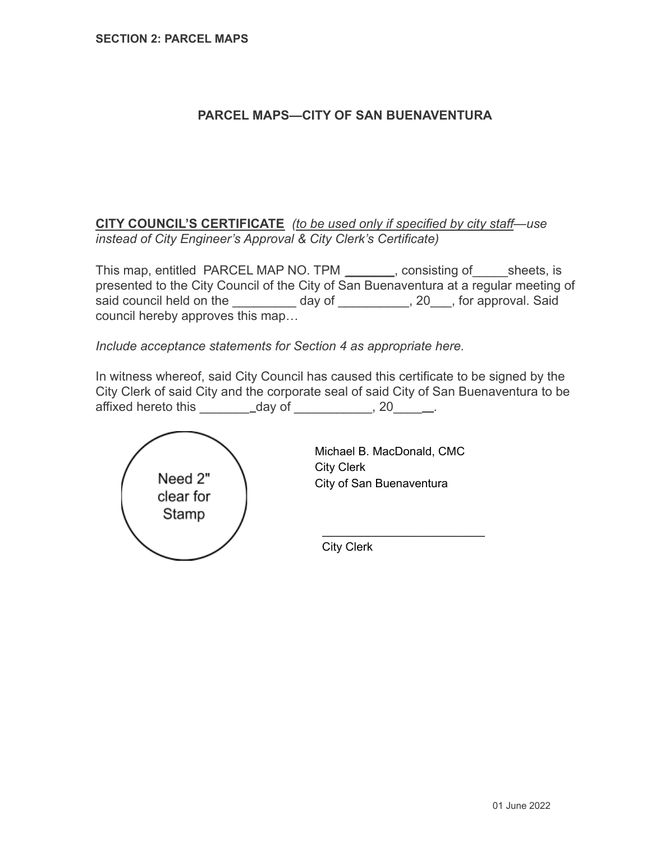# **PARCEL MAPS—CITY OF SAN BUENAVENTURA**

**CITY COUNCIL'S CERTIFICATE** *(to be used only if specified by city staff—use instead of City Engineer's Approval & City Clerk's Certificate)*

This map, entitled PARCEL MAP NO. TPM consisting of sheets, is presented to the City Council of the City of San Buenaventura at a regular meeting of said council held on the \_\_\_\_\_\_\_\_\_ day of \_\_\_\_\_\_\_\_, 20\_\_\_, for approval. Said council hereby approves this map…

*Include acceptance statements for Section 4 as appropriate here.*

In witness whereof, said City Council has caused this certificate to be signed by the City Clerk of said City and the corporate seal of said City of San Buenaventura to be affixed hereto this  $\qquad \qquad$  \_ day of  $\qquad \qquad .20$   $\qquad \qquad .2$ 



Michael B. MacDonald, CMC City Clerk City of San Buenaventura

\_\_\_\_\_\_\_\_\_\_\_\_\_\_\_\_\_\_\_\_\_\_\_\_\_

City Clerk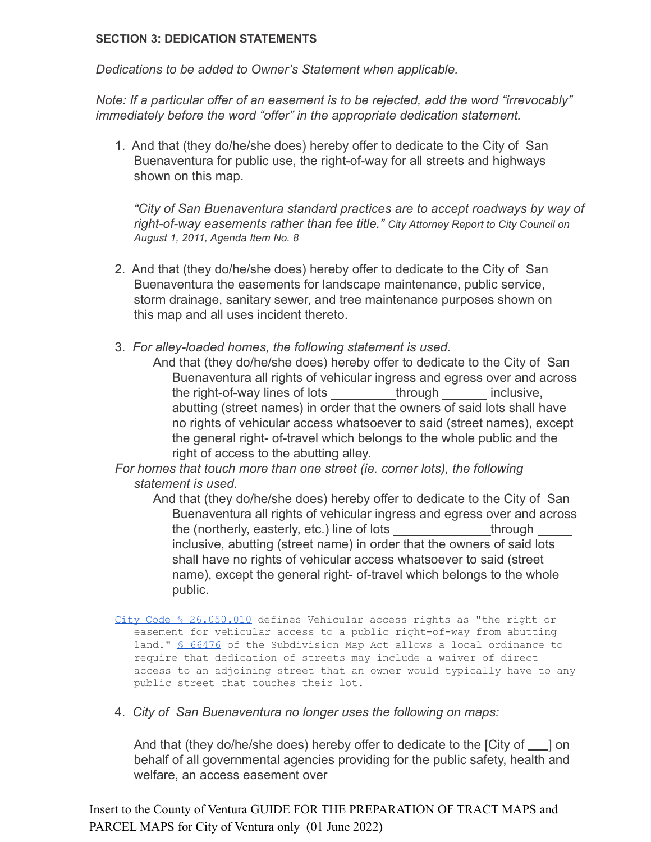### **SECTION 3: DEDICATION STATEMENTS**

*Dedications to be added to Owner's Statement when applicable.*

*Note: If a particular offer of an easement is to be rejected, add the word "irrevocably" immediately before the word "offer" in the appropriate dedication statement.*

1. And that (they do/he/she does) hereby offer to dedicate to the City of San Buenaventura for public use, the right-of-way for all streets and highways shown on this map.

*"City of San Buenaventura standard practices are to accept roadways by way of right-of-way easements rather than fee title." City Attorney Report to City Council on August 1, 2011, Agenda Item No. 8*

- 2. And that (they do/he/she does) hereby offer to dedicate to the City of San Buenaventura the easements for landscape maintenance, public service, storm drainage, sanitary sewer, and tree maintenance purposes shown on this map and all uses incident thereto.
- 3. *For alley-loaded homes, the following statement is used.*
	- And that (they do/he/she does) hereby offer to dedicate to the City of San Buenaventura all rights of vehicular ingress and egress over and across the right-of-way lines of lots through inclusive, abutting (street names) in order that the owners of said lots shall have no rights of vehicular access whatsoever to said (street names), except the general right- of-travel which belongs to the whole public and the right of access to the abutting alley.

*For homes that touch more than one street (ie. corner lots), the following statement is used.*

And that (they do/he/she does) hereby offer to dedicate to the City of San Buenaventura all rights of vehicular ingress and egress over and across the (northerly, easterly, etc.) line of lots through inclusive, abutting (street name) in order that the owners of said lots shall have no rights of vehicular access whatsoever to said (street name), except the general right- of-travel which belongs to the whole public.

- City Code § [26.050.010](http://library.municode.com/HTML/10135/level2/DIV26SURE_CH26.050DE.html#DIV26SURE_CH26.050DE_S26.050.010DEWOPH) defines Vehicular access rights as "the right or easement for vehicular access to a public right-of-way from abutting land." § [66476](http://www.leginfo.ca.gov/cgi-bin/displaycode?section=gov&group=66001-67000&file=66475-66478) of the Subdivision Map Act allows a local ordinance to require that dedication of streets may include a waiver of direct access to an adjoining street that an owner would typically have to any public street that touches their lot.
- 4. *City of San Buenaventura no longer uses the following on maps:*

And that (they do/he/she does) hereby offer to dedicate to the  $\lceil$ City of  $\rceil$  on behalf of all governmental agencies providing for the public safety, health and welfare, an access easement over

Insert to the County of Ventura GUIDE FOR THE PREPARATION OF TRACT MAPS and PARCEL MAPS for City of Ventura only (01 June 2022)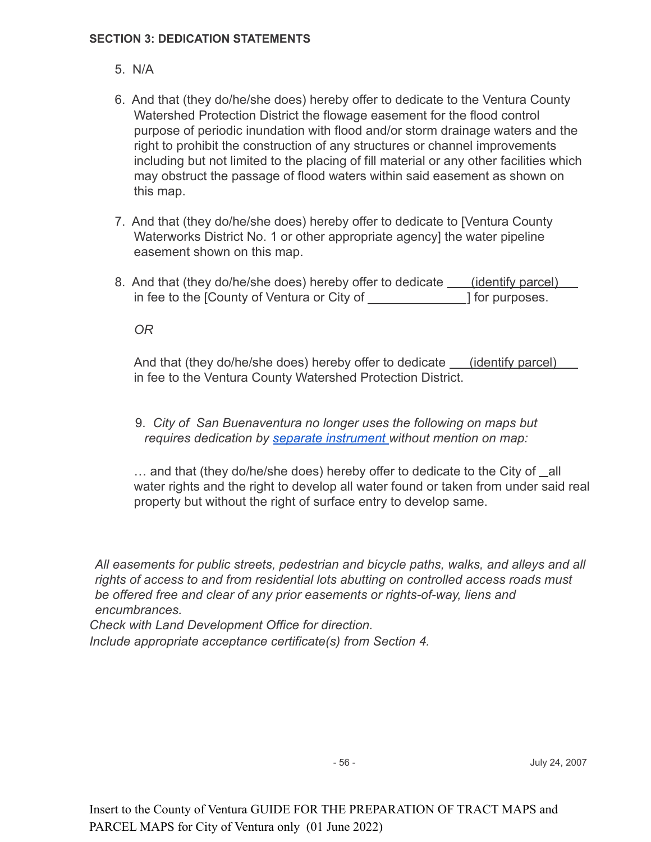### **SECTION 3: DEDICATION STATEMENTS**

- 5. N/A
- 6. And that (they do/he/she does) hereby offer to dedicate to the Ventura County Watershed Protection District the flowage easement for the flood control purpose of periodic inundation with flood and/or storm drainage waters and the right to prohibit the construction of any structures or channel improvements including but not limited to the placing of fill material or any other facilities which may obstruct the passage of flood waters within said easement as shown on this map.
- 7. And that (they do/he/she does) hereby offer to dedicate to [Ventura County Waterworks District No. 1 or other appropriate agency] the water pipeline easement shown on this map.
- 8. And that (they do/he/she does) hereby offer to dedicate (identify parcel) in fee to the [County of Ventura or City of  $\qquad$  ] for purposes.

*OR*

And that (they do/he/she does) hereby offer to dedicate \_\_\_\_(identify parcel) in fee to the Ventura County Watershed Protection District.

9. *City of San Buenaventura no longer uses the following on maps but requires dedication by [separate instrument](https://docs.google.com/document/d/1h3Gl9kog4lz0nvdR4UzHQzp53qarwZe0L-groiwRVV8/edit) without mention on map:*

… and that (they do/he/she does) hereby offer to dedicate to the City of all water rights and the right to develop all water found or taken from under said real property but without the right of surface entry to develop same.

*All easements for public streets, pedestrian and bicycle paths, walks, and alleys and all rights of access to and from residential lots abutting on controlled access roads must be offered free and clear of any prior easements or rights-of-way, liens and encumbrances.*

*Check with Land Development Office for direction.*

*Include appropriate acceptance certificate(s) from Section 4.*

- 56 - July 24, 2007